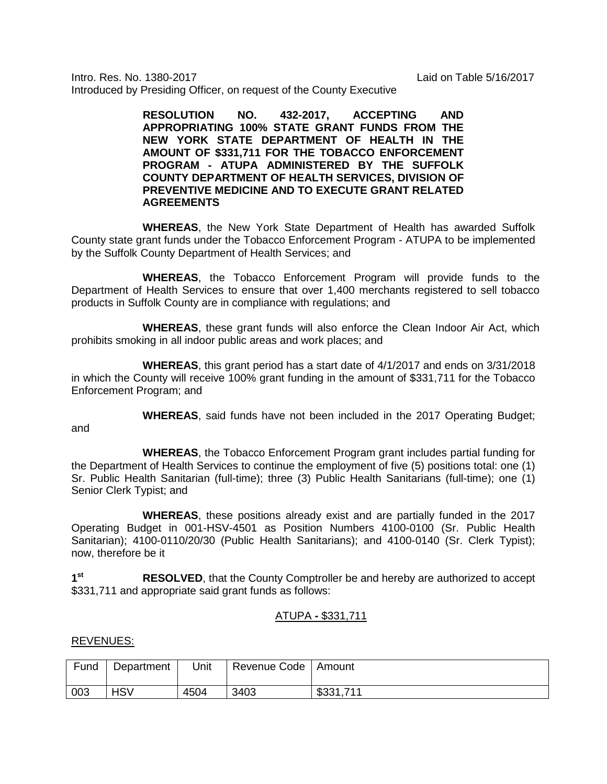Intro. Res. No. 1380-2017 Laid on Table 5/16/2017 Introduced by Presiding Officer, on request of the County Executive

> **RESOLUTION NO. 432-2017, ACCEPTING AND APPROPRIATING 100% STATE GRANT FUNDS FROM THE NEW YORK STATE DEPARTMENT OF HEALTH IN THE AMOUNT OF \$331,711 FOR THE TOBACCO ENFORCEMENT PROGRAM - ATUPA ADMINISTERED BY THE SUFFOLK COUNTY DEPARTMENT OF HEALTH SERVICES, DIVISION OF PREVENTIVE MEDICINE AND TO EXECUTE GRANT RELATED AGREEMENTS**

**WHEREAS**, the New York State Department of Health has awarded Suffolk County state grant funds under the Tobacco Enforcement Program - ATUPA to be implemented by the Suffolk County Department of Health Services; and

**WHEREAS**, the Tobacco Enforcement Program will provide funds to the Department of Health Services to ensure that over 1,400 merchants registered to sell tobacco products in Suffolk County are in compliance with regulations; and

**WHEREAS**, these grant funds will also enforce the Clean Indoor Air Act, which prohibits smoking in all indoor public areas and work places; and

**WHEREAS**, this grant period has a start date of 4/1/2017 and ends on 3/31/2018 in which the County will receive 100% grant funding in the amount of \$331,711 for the Tobacco Enforcement Program; and

**WHEREAS**, said funds have not been included in the 2017 Operating Budget;

**WHEREAS**, the Tobacco Enforcement Program grant includes partial funding for the Department of Health Services to continue the employment of five (5) positions total: one (1) Sr. Public Health Sanitarian (full-time); three (3) Public Health Sanitarians (full-time); one (1) Senior Clerk Typist; and

**WHEREAS**, these positions already exist and are partially funded in the 2017 Operating Budget in 001-HSV-4501 as Position Numbers 4100-0100 (Sr. Public Health Sanitarian); 4100-0110/20/30 (Public Health Sanitarians); and 4100-0140 (Sr. Clerk Typist); now, therefore be it

**1st RESOLVED**, that the County Comptroller be and hereby are authorized to accept \$331,711 and appropriate said grant funds as follows:

## ATUPA **-** \$331,711

#### REVENUES:

and

| Fund | Department | Unit | Revenue Code | Amount         |
|------|------------|------|--------------|----------------|
| 003  | <b>HSV</b> | 4504 | 3403         | \$331,7<br>744 |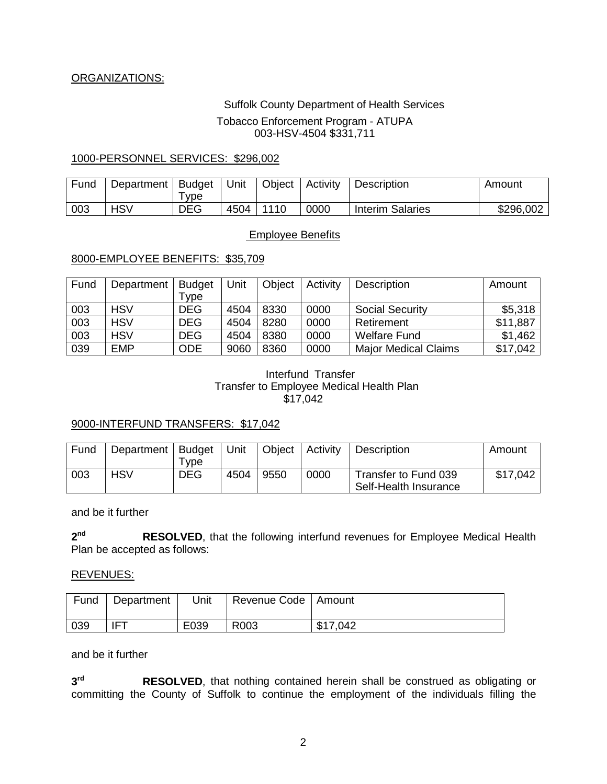## ORGANIZATIONS:

# Suffolk County Department of Health Services Tobacco Enforcement Program - ATUPA 003-HSV-4504 \$331,711

## 1000-PERSONNEL SERVICES: \$296,002

| Fund | Department | <b>Budget</b><br>' vpe | Unit | Object | Activity | Description      | Amount    |
|------|------------|------------------------|------|--------|----------|------------------|-----------|
| 003  | <b>HSV</b> | <b>DEG</b>             | 4504 | 1110   | 0000     | Interim Salaries | \$296,002 |

## Employee Benefits

#### 8000-EMPLOYEE BENEFITS: \$35,709

| Fund | Department | <b>Budget</b> | Unit | Object | Activity | <b>Description</b>          | Amount   |
|------|------------|---------------|------|--------|----------|-----------------------------|----------|
|      |            | туре          |      |        |          |                             |          |
| 003  | <b>HSV</b> | <b>DEG</b>    | 4504 | 8330   | 0000     | <b>Social Security</b>      | \$5,318  |
| 003  | <b>HSV</b> | <b>DEG</b>    | 4504 | 8280   | 0000     | Retirement                  | \$11,887 |
| 003  | <b>HSV</b> | <b>DEG</b>    | 4504 | 8380   | 0000     | <b>Welfare Fund</b>         | \$1,462  |
| 039  | <b>EMP</b> | <b>ODE</b>    | 9060 | 8360   | 0000     | <b>Major Medical Claims</b> | \$17,042 |

## Interfund Transfer Transfer to Employee Medical Health Plan \$17,042

## 9000-INTERFUND TRANSFERS: \$17,042

| Fund | Department   Budget | ™vpe       | Unit | Object | ∣ Activity | Description                                   | Amount   |
|------|---------------------|------------|------|--------|------------|-----------------------------------------------|----------|
| 003  | <b>HSV</b>          | <b>DEG</b> | 4504 | 9550   | 0000       | Transfer to Fund 039<br>Self-Health Insurance | \$17,042 |

## and be it further

**2nd RESOLVED**, that the following interfund revenues for Employee Medical Health Plan be accepted as follows:

#### REVENUES:

| Fund | Department | Unit | Revenue Code   Amount |          |
|------|------------|------|-----------------------|----------|
| 039  | <b>IFT</b> | E039 | R <sub>003</sub>      | \$17,042 |

## and be it further

**3rd RESOLVED**, that nothing contained herein shall be construed as obligating or committing the County of Suffolk to continue the employment of the individuals filling the